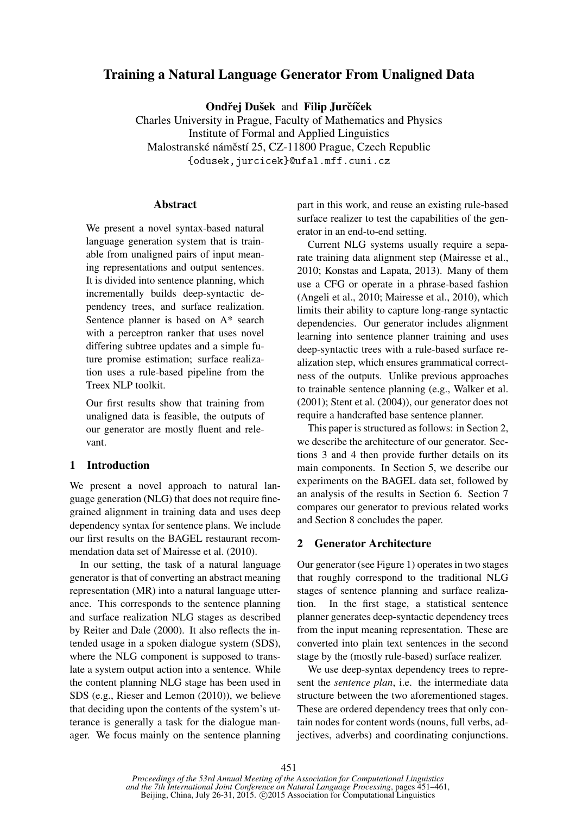# Training a Natural Language Generator From Unaligned Data

Ondřej Dušek and Filip Jurčíček

Charles University in Prague, Faculty of Mathematics and Physics Institute of Formal and Applied Linguistics Malostranské náměstí 25, CZ-11800 Prague, Czech Republic {odusek,jurcicek}@ufal.mff.cuni.cz

### **Abstract**

We present a novel syntax-based natural language generation system that is trainable from unaligned pairs of input meaning representations and output sentences. It is divided into sentence planning, which incrementally builds deep-syntactic dependency trees, and surface realization. Sentence planner is based on A\* search with a perceptron ranker that uses novel differing subtree updates and a simple future promise estimation; surface realization uses a rule-based pipeline from the Treex NLP toolkit.

Our first results show that training from unaligned data is feasible, the outputs of our generator are mostly fluent and relevant.

### 1 Introduction

We present a novel approach to natural language generation (NLG) that does not require finegrained alignment in training data and uses deep dependency syntax for sentence plans. We include our first results on the BAGEL restaurant recommendation data set of Mairesse et al. (2010).

In our setting, the task of a natural language generator is that of converting an abstract meaning representation (MR) into a natural language utterance. This corresponds to the sentence planning and surface realization NLG stages as described by Reiter and Dale (2000). It also reflects the intended usage in a spoken dialogue system (SDS), where the NLG component is supposed to translate a system output action into a sentence. While the content planning NLG stage has been used in SDS (e.g., Rieser and Lemon (2010)), we believe that deciding upon the contents of the system's utterance is generally a task for the dialogue manager. We focus mainly on the sentence planning part in this work, and reuse an existing rule-based surface realizer to test the capabilities of the generator in an end-to-end setting.

Current NLG systems usually require a separate training data alignment step (Mairesse et al., 2010; Konstas and Lapata, 2013). Many of them use a CFG or operate in a phrase-based fashion (Angeli et al., 2010; Mairesse et al., 2010), which limits their ability to capture long-range syntactic dependencies. Our generator includes alignment learning into sentence planner training and uses deep-syntactic trees with a rule-based surface realization step, which ensures grammatical correctness of the outputs. Unlike previous approaches to trainable sentence planning (e.g., Walker et al. (2001); Stent et al. (2004)), our generator does not require a handcrafted base sentence planner.

This paper is structured as follows: in Section 2, we describe the architecture of our generator. Sections 3 and 4 then provide further details on its main components. In Section 5, we describe our experiments on the BAGEL data set, followed by an analysis of the results in Section 6. Section 7 compares our generator to previous related works and Section 8 concludes the paper.

#### 2 Generator Architecture

Our generator (see Figure 1) operates in two stages that roughly correspond to the traditional NLG stages of sentence planning and surface realization. In the first stage, a statistical sentence planner generates deep-syntactic dependency trees from the input meaning representation. These are converted into plain text sentences in the second stage by the (mostly rule-based) surface realizer.

We use deep-syntax dependency trees to represent the *sentence plan*, i.e. the intermediate data structure between the two aforementioned stages. These are ordered dependency trees that only contain nodes for content words (nouns, full verbs, adjectives, adverbs) and coordinating conjunctions.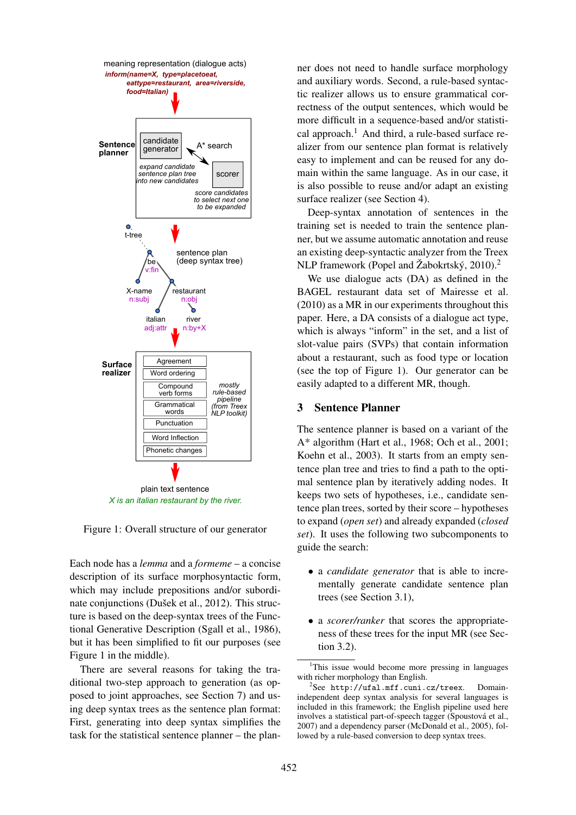

Figure 1: Overall structure of our generator

Each node has a *lemma* and a *formeme* – a concise description of its surface morphosyntactic form, which may include prepositions and/or subordinate conjunctions (Dušek et al., 2012). This structure is based on the deep-syntax trees of the Functional Generative Description (Sgall et al., 1986), but it has been simplified to fit our purposes (see Figure 1 in the middle).

There are several reasons for taking the traditional two-step approach to generation (as opposed to joint approaches, see Section 7) and using deep syntax trees as the sentence plan format: First, generating into deep syntax simplifies the task for the statistical sentence planner – the plan-

ner does not need to handle surface morphology and auxiliary words. Second, a rule-based syntactic realizer allows us to ensure grammatical correctness of the output sentences, which would be more difficult in a sequence-based and/or statistical approach.<sup>1</sup> And third, a rule-based surface realizer from our sentence plan format is relatively easy to implement and can be reused for any domain within the same language. As in our case, it is also possible to reuse and/or adapt an existing surface realizer (see Section 4).

Deep-syntax annotation of sentences in the training set is needed to train the sentence planner, but we assume automatic annotation and reuse an existing deep-syntactic analyzer from the Treex NLP framework (Popel and Žabokrtský, 2010).<sup>2</sup>

We use dialogue acts (DA) as defined in the BAGEL restaurant data set of Mairesse et al. (2010) as a MR in our experiments throughout this paper. Here, a DA consists of a dialogue act type, which is always "inform" in the set, and a list of slot-value pairs (SVPs) that contain information about a restaurant, such as food type or location (see the top of Figure 1). Our generator can be easily adapted to a different MR, though.

### 3 Sentence Planner

The sentence planner is based on a variant of the A\* algorithm (Hart et al., 1968; Och et al., 2001; Koehn et al., 2003). It starts from an empty sentence plan tree and tries to find a path to the optimal sentence plan by iteratively adding nodes. It keeps two sets of hypotheses, i.e., candidate sentence plan trees, sorted by their score – hypotheses to expand (*open set*) and already expanded (*closed set*). It uses the following two subcomponents to guide the search:

- a *candidate generator* that is able to incrementally generate candidate sentence plan trees (see Section 3.1),
- a *scorer/ranker* that scores the appropriateness of these trees for the input MR (see Section 3.2).

<sup>&</sup>lt;sup>1</sup>This issue would become more pressing in languages with richer morphology than English.

<sup>2</sup> See http://ufal.mff.cuni.cz/treex. Domainindependent deep syntax analysis for several languages is included in this framework; the English pipeline used here involves a statistical part-of-speech tagger (Spoustová et al., 2007) and a dependency parser (McDonald et al., 2005), followed by a rule-based conversion to deep syntax trees.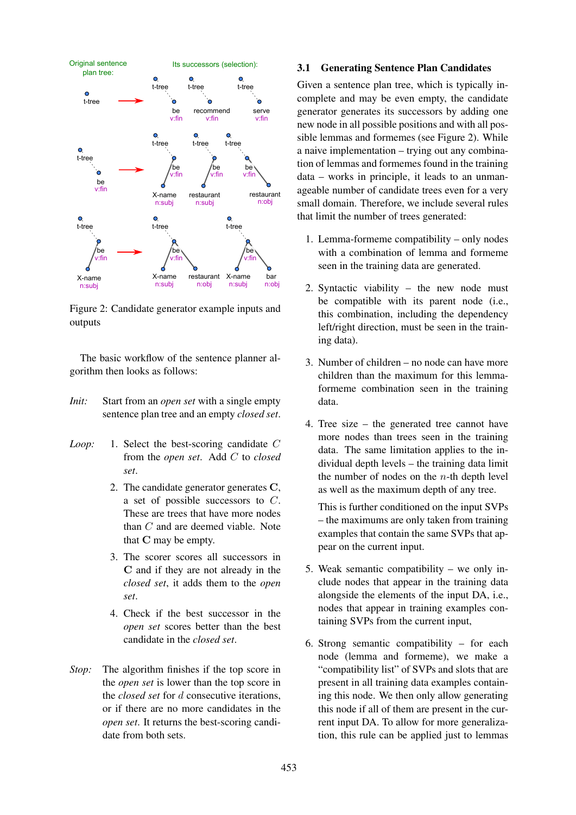

Figure 2: Candidate generator example inputs and outputs

The basic workflow of the sentence planner algorithm then looks as follows:

- *Init:* Start from an *open set* with a single empty sentence plan tree and an empty *closed set*.
- *Loop:* 1. Select the best-scoring candidate C from the *open set*. Add C to *closed set*.
	- 2. The candidate generator generates C, a set of possible successors to C. These are trees that have more nodes than C and are deemed viable. Note that C may be empty.
	- 3. The scorer scores all successors in C and if they are not already in the *closed set*, it adds them to the *open set*.
	- 4. Check if the best successor in the *open set* scores better than the best candidate in the *closed set*.
- *Stop:* The algorithm finishes if the top score in the *open set* is lower than the top score in the *closed set* for d consecutive iterations, or if there are no more candidates in the *open set*. It returns the best-scoring candidate from both sets.

#### 3.1 Generating Sentence Plan Candidates

Given a sentence plan tree, which is typically incomplete and may be even empty, the candidate generator generates its successors by adding one new node in all possible positions and with all possible lemmas and formemes (see Figure 2). While a naive implementation – trying out any combination of lemmas and formemes found in the training data – works in principle, it leads to an unmanageable number of candidate trees even for a very small domain. Therefore, we include several rules that limit the number of trees generated:

- 1. Lemma-formeme compatibility only nodes with a combination of lemma and formeme seen in the training data are generated.
- 2. Syntactic viability the new node must be compatible with its parent node (i.e., this combination, including the dependency left/right direction, must be seen in the training data).
- 3. Number of children no node can have more children than the maximum for this lemmaformeme combination seen in the training data.
- 4. Tree size the generated tree cannot have more nodes than trees seen in the training data. The same limitation applies to the individual depth levels – the training data limit the number of nodes on the  $n$ -th depth level as well as the maximum depth of any tree.

This is further conditioned on the input SVPs – the maximums are only taken from training examples that contain the same SVPs that appear on the current input.

- 5. Weak semantic compatibility we only include nodes that appear in the training data alongside the elements of the input DA, i.e., nodes that appear in training examples containing SVPs from the current input,
- 6. Strong semantic compatibility for each node (lemma and formeme), we make a "compatibility list" of SVPs and slots that are present in all training data examples containing this node. We then only allow generating this node if all of them are present in the current input DA. To allow for more generalization, this rule can be applied just to lemmas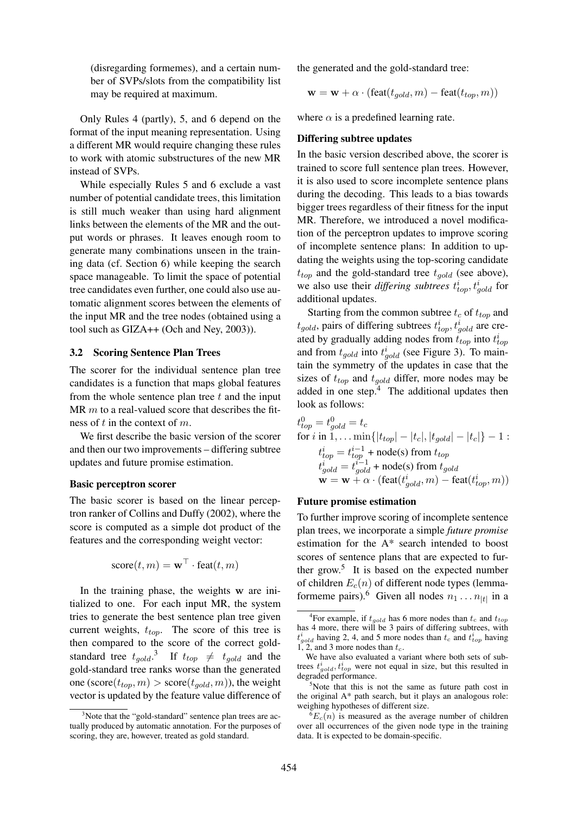(disregarding formemes), and a certain number of SVPs/slots from the compatibility list may be required at maximum.

Only Rules 4 (partly), 5, and 6 depend on the format of the input meaning representation. Using a different MR would require changing these rules to work with atomic substructures of the new MR instead of SVPs.

While especially Rules 5 and 6 exclude a vast number of potential candidate trees, this limitation is still much weaker than using hard alignment links between the elements of the MR and the output words or phrases. It leaves enough room to generate many combinations unseen in the training data (cf. Section 6) while keeping the search space manageable. To limit the space of potential tree candidates even further, one could also use automatic alignment scores between the elements of the input MR and the tree nodes (obtained using a tool such as GIZA++ (Och and Ney, 2003)).

#### 3.2 Scoring Sentence Plan Trees

The scorer for the individual sentence plan tree candidates is a function that maps global features from the whole sentence plan tree  $t$  and the input MR  $m$  to a real-valued score that describes the fitness of  $t$  in the context of  $m$ .

We first describe the basic version of the scorer and then our two improvements – differing subtree updates and future promise estimation.

#### Basic perceptron scorer

The basic scorer is based on the linear perceptron ranker of Collins and Duffy (2002), where the score is computed as a simple dot product of the features and the corresponding weight vector:

$$
score(t, m) = \mathbf{w}^{\top} \cdot \text{feat}(t, m)
$$

In the training phase, the weights w are initialized to one. For each input MR, the system tries to generate the best sentence plan tree given current weights,  $t_{top}$ . The score of this tree is then compared to the score of the correct goldstandard tree  $t_{gold}$ <sup>3</sup> If  $t_{top} \neq t_{gold}$  and the gold-standard tree ranks worse than the generated one (score( $t_{top}, m$ ) > score( $t_{gold}, m$ )), the weight vector is updated by the feature value difference of the generated and the gold-standard tree:

$$
\mathbf{w} = \mathbf{w} + \alpha \cdot (\text{feat}(t_{gold}, m) - \text{feat}(t_{top}, m))
$$

where  $\alpha$  is a predefined learning rate.

#### Differing subtree updates

In the basic version described above, the scorer is trained to score full sentence plan trees. However, it is also used to score incomplete sentence plans during the decoding. This leads to a bias towards bigger trees regardless of their fitness for the input MR. Therefore, we introduced a novel modification of the perceptron updates to improve scoring of incomplete sentence plans: In addition to updating the weights using the top-scoring candidate  $t_{top}$  and the gold-standard tree  $t_{gold}$  (see above), we also use their *differing subtrees*  $t_{top}^i$ ,  $t_{gold}^i$  for additional updates.

Starting from the common subtree  $t_c$  of  $t_{top}$  and  $t_{gold}$ , pairs of differing subtrees  $t_{top}^i, t_{gold}^i$  are created by gradually adding nodes from  $t_{top}$  into  $t_{top}^i$ and from  $t_{gold}$  into  $t_{gold}^i$  (see Figure 3). To maintain the symmetry of the updates in case that the sizes of  $t_{top}$  and  $t_{gold}$  differ, more nodes may be added in one step. $4$  The additional updates then look as follows:

$$
t_{top}^0 = t_{gold}^0 = t_c
$$
  
for *i* in 1, . . . min{ $|t_{top}| - |t_c|, |t_{gold}| - |t_c|$ } - 1 :  

$$
t_{top}^i = t_{top}^{i-1} + \text{node(s) from } t_{top}
$$

$$
t_{gold}^i = t_{gold}^{i-1} + \text{node(s) from } t_{gold}
$$

$$
\mathbf{w} = \mathbf{w} + \alpha \cdot (\text{feat}(t_{gold}^i, m) - \text{feat}(t_{top}^i, m))
$$

#### Future promise estimation

To further improve scoring of incomplete sentence plan trees, we incorporate a simple *future promise* estimation for the A\* search intended to boost scores of sentence plans that are expected to further grow.<sup>5</sup> It is based on the expected number of children  $E_c(n)$  of different node types (lemmaformeme pairs).<sup>6</sup> Given all nodes  $n_1 \dots n_{|t|}$  in a

 $3$ Note that the "gold-standard" sentence plan trees are actually produced by automatic annotation. For the purposes of scoring, they are, however, treated as gold standard.

<sup>&</sup>lt;sup>4</sup>For example, if  $t_{gold}$  has 6 more nodes than  $t_c$  and  $t_{top}$ has 4 more, there will be 3 pairs of differing subtrees, with  $t_{gold}^i$  having 2, 4, and 5 more nodes than  $t_c$  and  $t_{top}^i$  having 1, 2, and 3 more nodes than  $t_c$ .

We have also evaluated a variant where both sets of subtrees  $t_{gold}^i, t_{top}^i$  were not equal in size, but this resulted in degraded performance.

 $5$ Note that this is not the same as future path cost in the original A\* path search, but it plays an analogous role: weighing hypotheses of different size.

 ${}^6E_c(n)$  is measured as the average number of children over all occurrences of the given node type in the training data. It is expected to be domain-specific.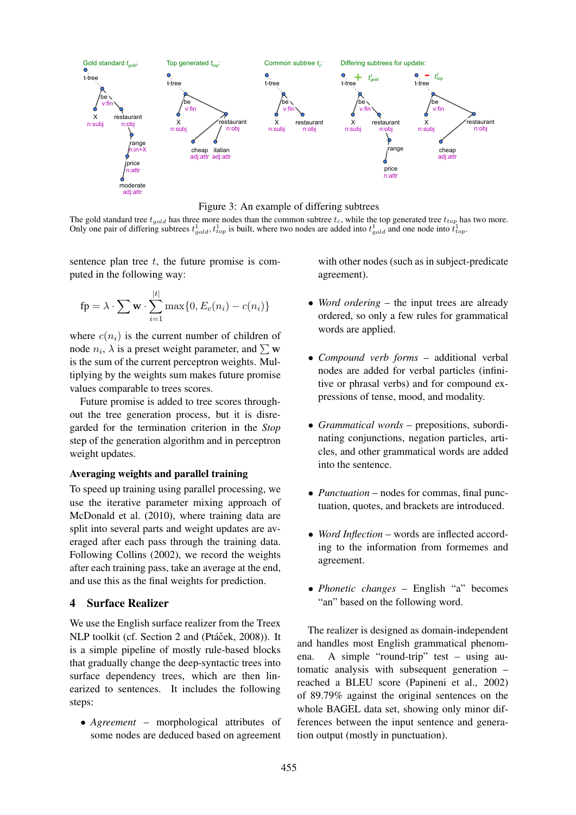

Figure 3: An example of differing subtrees

The gold standard tree  $t_{cool}$  has three more nodes than the common subtree  $t_c$ , while the top generated tree  $t_{top}$  has two more. Only one pair of differing subtrees  $t_{gold}^1, t_{top}^1$  is built, where two nodes are added into  $t_{gold}^1$  and one node into  $t_{top}^1$ .

sentence plan tree  $t$ , the future promise is computed in the following way:

$$
\mathbf{fp} = \lambda \cdot \sum \mathbf{w} \cdot \sum_{i=1}^{|t|} \max\{0, E_c(n_i) - c(n_i)\}\
$$

where  $c(n_i)$  is the current number of children of node  $n_i$ ,  $\lambda$  is a preset weight parameter, and  $\sum$  w is the sum of the current perceptron weights. Multiplying by the weights sum makes future promise values comparable to trees scores.

Future promise is added to tree scores throughout the tree generation process, but it is disregarded for the termination criterion in the *Stop* step of the generation algorithm and in perceptron weight updates.

### Averaging weights and parallel training

To speed up training using parallel processing, we use the iterative parameter mixing approach of McDonald et al. (2010), where training data are split into several parts and weight updates are averaged after each pass through the training data. Following Collins (2002), we record the weights after each training pass, take an average at the end, and use this as the final weights for prediction.

### 4 Surface Realizer

We use the English surface realizer from the Treex NLP toolkit (cf. Section 2 and (Ptáček, 2008)). It is a simple pipeline of mostly rule-based blocks that gradually change the deep-syntactic trees into surface dependency trees, which are then linearized to sentences. It includes the following steps:

• *Agreement* – morphological attributes of some nodes are deduced based on agreement with other nodes (such as in subject-predicate agreement).

- *Word ordering* the input trees are already ordered, so only a few rules for grammatical words are applied.
- *Compound verb forms* additional verbal nodes are added for verbal particles (infinitive or phrasal verbs) and for compound expressions of tense, mood, and modality.
- *Grammatical words* prepositions, subordinating conjunctions, negation particles, articles, and other grammatical words are added into the sentence.
- *Punctuation* nodes for commas, final punctuation, quotes, and brackets are introduced.
- *Word Inflection* words are inflected according to the information from formemes and agreement.
- *Phonetic changes* English "a" becomes "an" based on the following word.

The realizer is designed as domain-independent and handles most English grammatical phenomena. A simple "round-trip" test – using automatic analysis with subsequent generation – reached a BLEU score (Papineni et al., 2002) of 89.79% against the original sentences on the whole BAGEL data set, showing only minor differences between the input sentence and generation output (mostly in punctuation).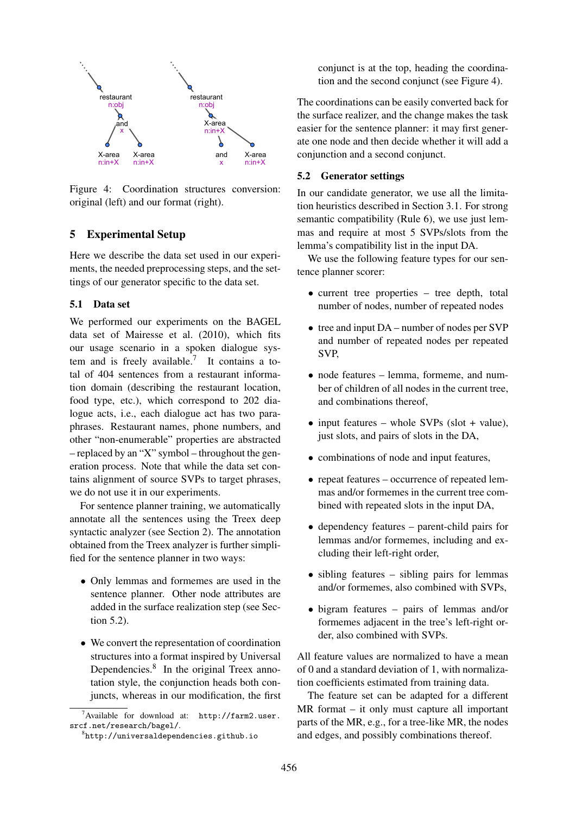

Figure 4: Coordination structures conversion: original (left) and our format (right).

## 5 Experimental Setup

Here we describe the data set used in our experiments, the needed preprocessing steps, and the settings of our generator specific to the data set.

### 5.1 Data set

We performed our experiments on the BAGEL data set of Mairesse et al. (2010), which fits our usage scenario in a spoken dialogue system and is freely available.<sup>7</sup> It contains a total of 404 sentences from a restaurant information domain (describing the restaurant location, food type, etc.), which correspond to 202 dialogue acts, i.e., each dialogue act has two paraphrases. Restaurant names, phone numbers, and other "non-enumerable" properties are abstracted – replaced by an "X" symbol – throughout the generation process. Note that while the data set contains alignment of source SVPs to target phrases, we do not use it in our experiments.

For sentence planner training, we automatically annotate all the sentences using the Treex deep syntactic analyzer (see Section 2). The annotation obtained from the Treex analyzer is further simplified for the sentence planner in two ways:

- Only lemmas and formemes are used in the sentence planner. Other node attributes are added in the surface realization step (see Section 5.2).
- We convert the representation of coordination structures into a format inspired by Universal Dependencies.<sup>8</sup> In the original Treex annotation style, the conjunction heads both conjuncts, whereas in our modification, the first

conjunct is at the top, heading the coordination and the second conjunct (see Figure 4).

The coordinations can be easily converted back for the surface realizer, and the change makes the task easier for the sentence planner: it may first generate one node and then decide whether it will add a conjunction and a second conjunct.

### 5.2 Generator settings

In our candidate generator, we use all the limitation heuristics described in Section 3.1. For strong semantic compatibility (Rule 6), we use just lemmas and require at most 5 SVPs/slots from the lemma's compatibility list in the input DA.

We use the following feature types for our sentence planner scorer:

- current tree properties tree depth, total number of nodes, number of repeated nodes
- tree and input DA number of nodes per SVP and number of repeated nodes per repeated SVP,
- node features lemma, formeme, and number of children of all nodes in the current tree, and combinations thereof,
- input features whole SVPs (slot + value), just slots, and pairs of slots in the DA,
- combinations of node and input features,
- repeat features occurrence of repeated lemmas and/or formemes in the current tree combined with repeated slots in the input DA,
- dependency features parent-child pairs for lemmas and/or formemes, including and excluding their left-right order,
- sibling features sibling pairs for lemmas and/or formemes, also combined with SVPs,
- bigram features pairs of lemmas and/or formemes adjacent in the tree's left-right order, also combined with SVPs.

All feature values are normalized to have a mean of 0 and a standard deviation of 1, with normalization coefficients estimated from training data.

The feature set can be adapted for a different MR format – it only must capture all important parts of the MR, e.g., for a tree-like MR, the nodes and edges, and possibly combinations thereof.

 $\sqrt{7}$ Available for download at: http://farm2.user. srcf.net/research/bagel/.

 ${}^{8}$ http://universaldependencies.github.io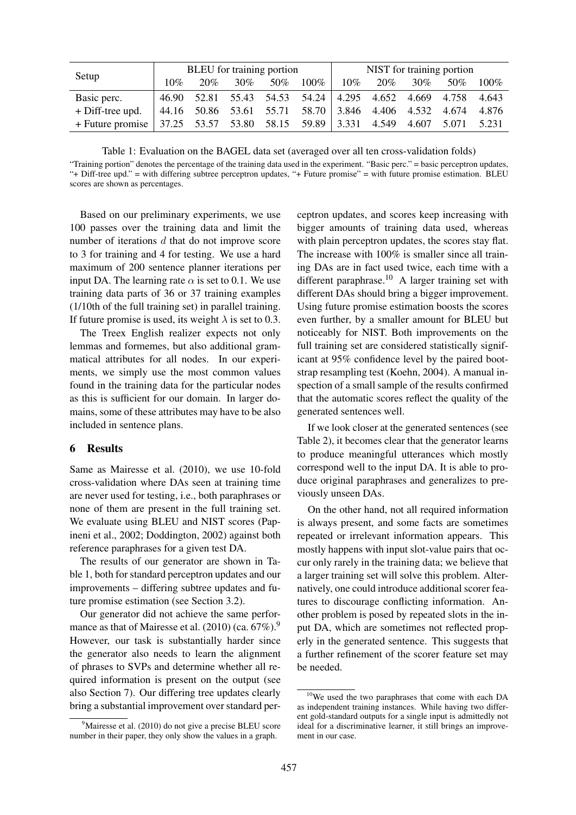| Setup              | BLEU for training portion |     |     |     |                                                 | NIST for training portion |       |        |       |         |
|--------------------|---------------------------|-----|-----|-----|-------------------------------------------------|---------------------------|-------|--------|-------|---------|
|                    | $10\%$                    | 20% | 30% | 50% | $100\%$                                         | $10\%$                    | 20%   | $30\%$ | 50%   | $100\%$ |
| Basic perc.        | 46.90                     |     |     |     | 52.81 55.43 54.53 54.24 4.295 4.652 4.669 4.758 |                           |       |        |       | 4.643   |
| + Diff-tree upd.   |                           |     |     |     | 44.16 50.86 53.61 55.71 58.70 3.846 4.406 4.532 |                           |       |        | 4.674 | 4.876   |
| $+$ Future promise |                           |     |     |     | $37.25$ 53.57 53.80 58.15 59.89 3.331           |                           | 4.549 | 4.607  | 5.071 | 5.231   |

Table 1: Evaluation on the BAGEL data set (averaged over all ten cross-validation folds)

"Training portion" denotes the percentage of the training data used in the experiment. "Basic perc." = basic perceptron updates, "+ Diff-tree upd." = with differing subtree perceptron updates, "+ Future promise" = with future promise estimation. BLEU scores are shown as percentages.

Based on our preliminary experiments, we use 100 passes over the training data and limit the number of iterations d that do not improve score to 3 for training and 4 for testing. We use a hard maximum of 200 sentence planner iterations per input DA. The learning rate  $\alpha$  is set to 0.1. We use training data parts of 36 or 37 training examples (1/10th of the full training set) in parallel training. If future promise is used, its weight  $\lambda$  is set to 0.3.

The Treex English realizer expects not only lemmas and formemes, but also additional grammatical attributes for all nodes. In our experiments, we simply use the most common values found in the training data for the particular nodes as this is sufficient for our domain. In larger domains, some of these attributes may have to be also included in sentence plans.

#### 6 Results

Same as Mairesse et al. (2010), we use 10-fold cross-validation where DAs seen at training time are never used for testing, i.e., both paraphrases or none of them are present in the full training set. We evaluate using BLEU and NIST scores (Papineni et al., 2002; Doddington, 2002) against both reference paraphrases for a given test DA.

The results of our generator are shown in Table 1, both for standard perceptron updates and our improvements – differing subtree updates and future promise estimation (see Section 3.2).

Our generator did not achieve the same performance as that of Mairesse et al.  $(2010)$  (ca.  $67\%$ ).<sup>9</sup> However, our task is substantially harder since the generator also needs to learn the alignment of phrases to SVPs and determine whether all required information is present on the output (see also Section 7). Our differing tree updates clearly bring a substantial improvement over standard perceptron updates, and scores keep increasing with bigger amounts of training data used, whereas with plain perceptron updates, the scores stay flat. The increase with 100% is smaller since all training DAs are in fact used twice, each time with a different paraphrase.<sup>10</sup> A larger training set with different DAs should bring a bigger improvement. Using future promise estimation boosts the scores even further, by a smaller amount for BLEU but noticeably for NIST. Both improvements on the full training set are considered statistically significant at 95% confidence level by the paired bootstrap resampling test (Koehn, 2004). A manual inspection of a small sample of the results confirmed that the automatic scores reflect the quality of the generated sentences well.

If we look closer at the generated sentences (see Table 2), it becomes clear that the generator learns to produce meaningful utterances which mostly correspond well to the input DA. It is able to produce original paraphrases and generalizes to previously unseen DAs.

On the other hand, not all required information is always present, and some facts are sometimes repeated or irrelevant information appears. This mostly happens with input slot-value pairs that occur only rarely in the training data; we believe that a larger training set will solve this problem. Alternatively, one could introduce additional scorer features to discourage conflicting information. Another problem is posed by repeated slots in the input DA, which are sometimes not reflected properly in the generated sentence. This suggests that a further refinement of the scorer feature set may be needed.

<sup>&</sup>lt;sup>9</sup>Mairesse et al. (2010) do not give a precise BLEU score number in their paper, they only show the values in a graph.

<sup>10</sup>We used the two paraphrases that come with each DA as independent training instances. While having two different gold-standard outputs for a single input is admittedly not ideal for a discriminative learner, it still brings an improvement in our case.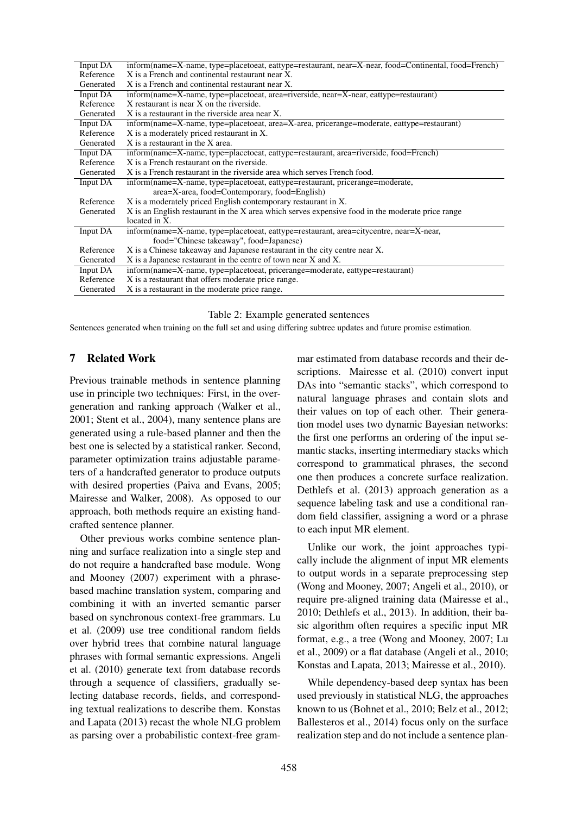| Input DA  | inform(name=X-name, type=placetoeat, eattype=restaurant, near=X-near, food=Continental, food=French) |
|-----------|------------------------------------------------------------------------------------------------------|
| Reference | X is a French and continental restaurant near X.                                                     |
| Generated | X is a French and continental restaurant near X.                                                     |
| Input DA  | inform(name=X-name, type=placetoeat, area=riverside, near=X-near, eattype=restaurant)                |
| Reference | X restaurant is near X on the riverside.                                                             |
| Generated | X is a restaurant in the riverside area near X.                                                      |
| Input DA  | inform(name=X-name, type=placetoeat, area=X-area, pricerange=moderate, eattype=restaurant)           |
| Reference | X is a moderately priced restaurant in X.                                                            |
| Generated | $X$ is a restaurant in the $X$ area.                                                                 |
| Input DA  | inform(name=X-name, type=placetoeat, eattype=restaurant, area=riverside, food=French)                |
| Reference | X is a French restaurant on the riverside.                                                           |
| Generated | X is a French restaurant in the riverside area which serves French food.                             |
| Input DA  | inform(name=X-name, type=placetoeat, eattype=restaurant, pricerange=moderate,                        |
|           | area=X-area, food=Contemporary, food=English)                                                        |
| Reference | X is a moderately priced English contemporary restaurant in X.                                       |
| Generated | X is an English restaurant in the X area which serves expensive food in the moderate price range     |
|           | located in X.                                                                                        |
| Input DA  | inform(name=X-name, type=placetoeat, eattype=restaurant, area=citycentre, near=X-near,               |
|           | food="Chinese takeaway", food=Japanese)                                                              |
| Reference | X is a Chinese takeaway and Japanese restaurant in the city centre near X.                           |
| Generated | X is a Japanese restaurant in the centre of town near X and X.                                       |
| Input DA  | inform(name=X-name, type=placetoeat, pricerange=moderate, eattype=restaurant)                        |
| Reference | X is a restaurant that offers moderate price range.                                                  |
| Generated | X is a restaurant in the moderate price range.                                                       |

Table 2: Example generated sentences

Sentences generated when training on the full set and using differing subtree updates and future promise estimation.

### 7 Related Work

Previous trainable methods in sentence planning use in principle two techniques: First, in the overgeneration and ranking approach (Walker et al., 2001; Stent et al., 2004), many sentence plans are generated using a rule-based planner and then the best one is selected by a statistical ranker. Second, parameter optimization trains adjustable parameters of a handcrafted generator to produce outputs with desired properties (Paiva and Evans, 2005; Mairesse and Walker, 2008). As opposed to our approach, both methods require an existing handcrafted sentence planner.

Other previous works combine sentence planning and surface realization into a single step and do not require a handcrafted base module. Wong and Mooney (2007) experiment with a phrasebased machine translation system, comparing and combining it with an inverted semantic parser based on synchronous context-free grammars. Lu et al. (2009) use tree conditional random fields over hybrid trees that combine natural language phrases with formal semantic expressions. Angeli et al. (2010) generate text from database records through a sequence of classifiers, gradually selecting database records, fields, and corresponding textual realizations to describe them. Konstas and Lapata (2013) recast the whole NLG problem as parsing over a probabilistic context-free grammar estimated from database records and their descriptions. Mairesse et al. (2010) convert input DAs into "semantic stacks", which correspond to natural language phrases and contain slots and their values on top of each other. Their generation model uses two dynamic Bayesian networks: the first one performs an ordering of the input semantic stacks, inserting intermediary stacks which correspond to grammatical phrases, the second one then produces a concrete surface realization. Dethlefs et al. (2013) approach generation as a sequence labeling task and use a conditional random field classifier, assigning a word or a phrase to each input MR element.

Unlike our work, the joint approaches typically include the alignment of input MR elements to output words in a separate preprocessing step (Wong and Mooney, 2007; Angeli et al., 2010), or require pre-aligned training data (Mairesse et al., 2010; Dethlefs et al., 2013). In addition, their basic algorithm often requires a specific input MR format, e.g., a tree (Wong and Mooney, 2007; Lu et al., 2009) or a flat database (Angeli et al., 2010; Konstas and Lapata, 2013; Mairesse et al., 2010).

While dependency-based deep syntax has been used previously in statistical NLG, the approaches known to us (Bohnet et al., 2010; Belz et al., 2012; Ballesteros et al., 2014) focus only on the surface realization step and do not include a sentence plan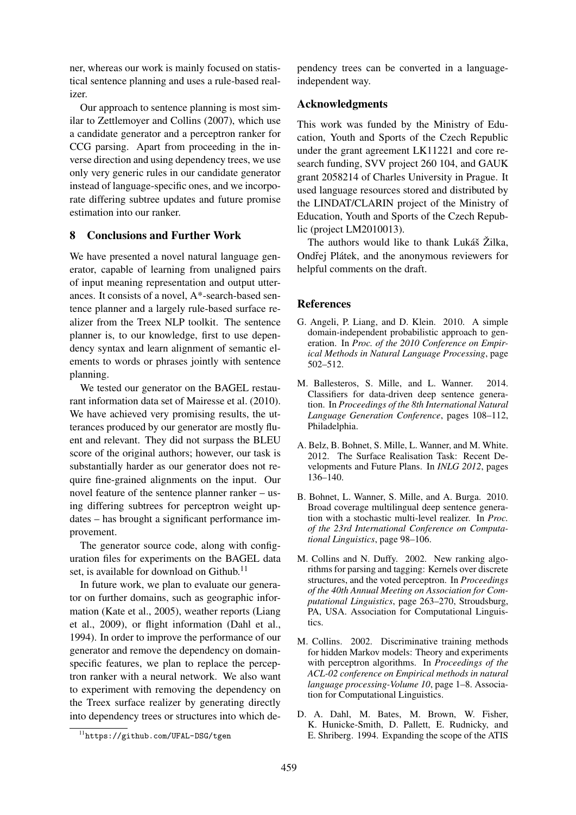ner, whereas our work is mainly focused on statistical sentence planning and uses a rule-based realizer.

Our approach to sentence planning is most similar to Zettlemoyer and Collins (2007), which use a candidate generator and a perceptron ranker for CCG parsing. Apart from proceeding in the inverse direction and using dependency trees, we use only very generic rules in our candidate generator instead of language-specific ones, and we incorporate differing subtree updates and future promise estimation into our ranker.

### 8 Conclusions and Further Work

We have presented a novel natural language generator, capable of learning from unaligned pairs of input meaning representation and output utterances. It consists of a novel, A\*-search-based sentence planner and a largely rule-based surface realizer from the Treex NLP toolkit. The sentence planner is, to our knowledge, first to use dependency syntax and learn alignment of semantic elements to words or phrases jointly with sentence planning.

We tested our generator on the BAGEL restaurant information data set of Mairesse et al. (2010). We have achieved very promising results, the utterances produced by our generator are mostly fluent and relevant. They did not surpass the BLEU score of the original authors; however, our task is substantially harder as our generator does not require fine-grained alignments on the input. Our novel feature of the sentence planner ranker – using differing subtrees for perceptron weight updates – has brought a significant performance improvement.

The generator source code, along with configuration files for experiments on the BAGEL data set, is available for download on Github.<sup>11</sup>

In future work, we plan to evaluate our generator on further domains, such as geographic information (Kate et al., 2005), weather reports (Liang et al., 2009), or flight information (Dahl et al., 1994). In order to improve the performance of our generator and remove the dependency on domainspecific features, we plan to replace the perceptron ranker with a neural network. We also want to experiment with removing the dependency on the Treex surface realizer by generating directly into dependency trees or structures into which de-

pendency trees can be converted in a languageindependent way.

#### Acknowledgments

This work was funded by the Ministry of Education, Youth and Sports of the Czech Republic under the grant agreement LK11221 and core research funding, SVV project 260 104, and GAUK grant 2058214 of Charles University in Prague. It used language resources stored and distributed by the LINDAT/CLARIN project of the Ministry of Education, Youth and Sports of the Czech Republic (project LM2010013).

The authors would like to thank Lukáš Žilka, Ondřej Plátek, and the anonymous reviewers for helpful comments on the draft.

#### **References**

- G. Angeli, P. Liang, and D. Klein. 2010. A simple domain-independent probabilistic approach to generation. In *Proc. of the 2010 Conference on Empirical Methods in Natural Language Processing*, page 502–512.
- M. Ballesteros, S. Mille, and L. Wanner. 2014. Classifiers for data-driven deep sentence generation. In *Proceedings of the 8th International Natural Language Generation Conference*, pages 108–112, Philadelphia.
- A. Belz, B. Bohnet, S. Mille, L. Wanner, and M. White. 2012. The Surface Realisation Task: Recent Developments and Future Plans. In *INLG 2012*, pages 136–140.
- B. Bohnet, L. Wanner, S. Mille, and A. Burga. 2010. Broad coverage multilingual deep sentence generation with a stochastic multi-level realizer. In *Proc. of the 23rd International Conference on Computational Linguistics*, page 98–106.
- M. Collins and N. Duffy. 2002. New ranking algorithms for parsing and tagging: Kernels over discrete structures, and the voted perceptron. In *Proceedings of the 40th Annual Meeting on Association for Computational Linguistics*, page 263–270, Stroudsburg, PA, USA. Association for Computational Linguistics.
- M. Collins. 2002. Discriminative training methods for hidden Markov models: Theory and experiments with perceptron algorithms. In *Proceedings of the ACL-02 conference on Empirical methods in natural language processing-Volume 10*, page 1–8. Association for Computational Linguistics.
- D. A. Dahl, M. Bates, M. Brown, W. Fisher, K. Hunicke-Smith, D. Pallett, E. Rudnicky, and E. Shriberg. 1994. Expanding the scope of the ATIS

<sup>11</sup>https://github.com/UFAL-DSG/tgen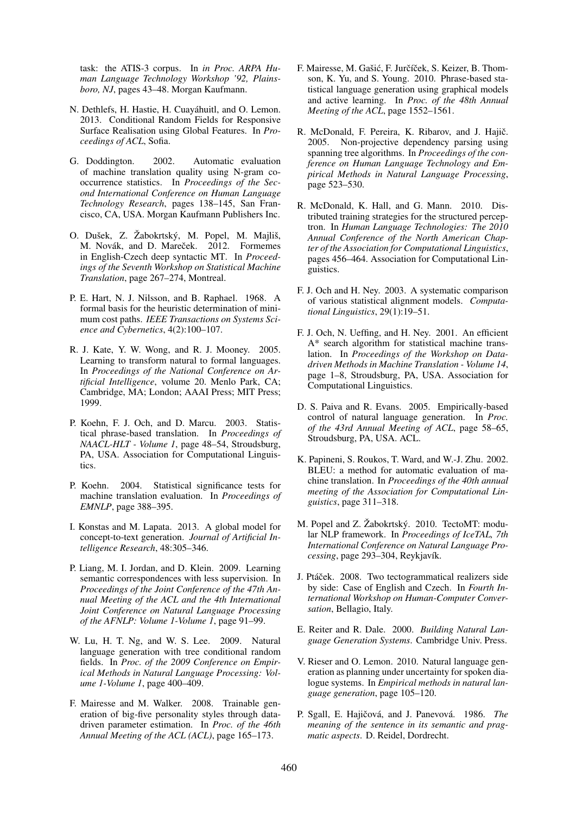task: the ATIS-3 corpus. In *in Proc. ARPA Human Language Technology Workshop '92, Plainsboro, NJ*, pages 43–48. Morgan Kaufmann.

- N. Dethlefs, H. Hastie, H. Cuayáhuitl, and O. Lemon. 2013. Conditional Random Fields for Responsive Surface Realisation using Global Features. In *Proceedings of ACL*, Sofia.
- G. Doddington. 2002. Automatic evaluation of machine translation quality using N-gram cooccurrence statistics. In *Proceedings of the Second International Conference on Human Language Technology Research*, pages 138–145, San Francisco, CA, USA. Morgan Kaufmann Publishers Inc.
- O. Dušek, Z. Žabokrtský, M. Popel, M. Majliš, M. Novák, and D. Mareček. 2012. Formemes in English-Czech deep syntactic MT. In *Proceedings of the Seventh Workshop on Statistical Machine Translation*, page 267–274, Montreal.
- P. E. Hart, N. J. Nilsson, and B. Raphael. 1968. A formal basis for the heuristic determination of minimum cost paths. *IEEE Transactions on Systems Science and Cybernetics*, 4(2):100–107.
- R. J. Kate, Y. W. Wong, and R. J. Mooney. 2005. Learning to transform natural to formal languages. In *Proceedings of the National Conference on Artificial Intelligence*, volume 20. Menlo Park, CA; Cambridge, MA; London; AAAI Press; MIT Press; 1999.
- P. Koehn, F. J. Och, and D. Marcu. 2003. Statistical phrase-based translation. In *Proceedings of NAACL-HLT - Volume 1*, page 48–54, Stroudsburg, PA, USA. Association for Computational Linguistics.
- P. Koehn. 2004. Statistical significance tests for machine translation evaluation. In *Proceedings of EMNLP*, page 388–395.
- I. Konstas and M. Lapata. 2013. A global model for concept-to-text generation. *Journal of Artificial Intelligence Research*, 48:305–346.
- P. Liang, M. I. Jordan, and D. Klein. 2009. Learning semantic correspondences with less supervision. In *Proceedings of the Joint Conference of the 47th Annual Meeting of the ACL and the 4th International Joint Conference on Natural Language Processing of the AFNLP: Volume 1-Volume 1*, page 91–99.
- W. Lu, H. T. Ng, and W. S. Lee. 2009. Natural language generation with tree conditional random fields. In *Proc. of the 2009 Conference on Empirical Methods in Natural Language Processing: Volume 1-Volume 1*, page 400–409.
- F. Mairesse and M. Walker. 2008. Trainable generation of big-five personality styles through datadriven parameter estimation. In *Proc. of the 46th Annual Meeting of the ACL (ACL)*, page 165–173.
- F. Mairesse, M. Gašić, F. Jurčíček, S. Keizer, B. Thomson, K. Yu, and S. Young. 2010. Phrase-based statistical language generation using graphical models and active learning. In *Proc. of the 48th Annual Meeting of the ACL*, page 1552–1561.
- R. McDonald, F. Pereira, K. Ribarov, and J. Hajič. 2005. Non-projective dependency parsing using spanning tree algorithms. In *Proceedings of the conference on Human Language Technology and Empirical Methods in Natural Language Processing*, page 523–530.
- R. McDonald, K. Hall, and G. Mann. 2010. Distributed training strategies for the structured perceptron. In *Human Language Technologies: The 2010 Annual Conference of the North American Chapter of the Association for Computational Linguistics*, pages 456–464. Association for Computational Linguistics.
- F. J. Och and H. Ney. 2003. A systematic comparison of various statistical alignment models. *Computational Linguistics*, 29(1):19–51.
- F. J. Och, N. Ueffing, and H. Ney. 2001. An efficient A\* search algorithm for statistical machine translation. In *Proceedings of the Workshop on Datadriven Methods in Machine Translation - Volume 14*, page 1–8, Stroudsburg, PA, USA. Association for Computational Linguistics.
- D. S. Paiva and R. Evans. 2005. Empirically-based control of natural language generation. In *Proc. of the 43rd Annual Meeting of ACL*, page 58–65, Stroudsburg, PA, USA. ACL.
- K. Papineni, S. Roukos, T. Ward, and W.-J. Zhu. 2002. BLEU: a method for automatic evaluation of machine translation. In *Proceedings of the 40th annual meeting of the Association for Computational Linguistics*, page 311–318.
- M. Popel and Z. Žabokrtský. 2010. TectoMT: modular NLP framework. In *Proceedings of IceTAL, 7th International Conference on Natural Language Processing*, page 293–304, Reykjavík.
- J. Ptáček. 2008. Two tectogrammatical realizers side by side: Case of English and Czech. In *Fourth International Workshop on Human-Computer Conversation*, Bellagio, Italy.
- E. Reiter and R. Dale. 2000. *Building Natural Language Generation Systems*. Cambridge Univ. Press.
- V. Rieser and O. Lemon. 2010. Natural language generation as planning under uncertainty for spoken dialogue systems. In *Empirical methods in natural language generation*, page 105–120.
- P. Sgall, E. Hajičová, and J. Panevová. 1986. The *meaning of the sentence in its semantic and pragmatic aspects*. D. Reidel, Dordrecht.